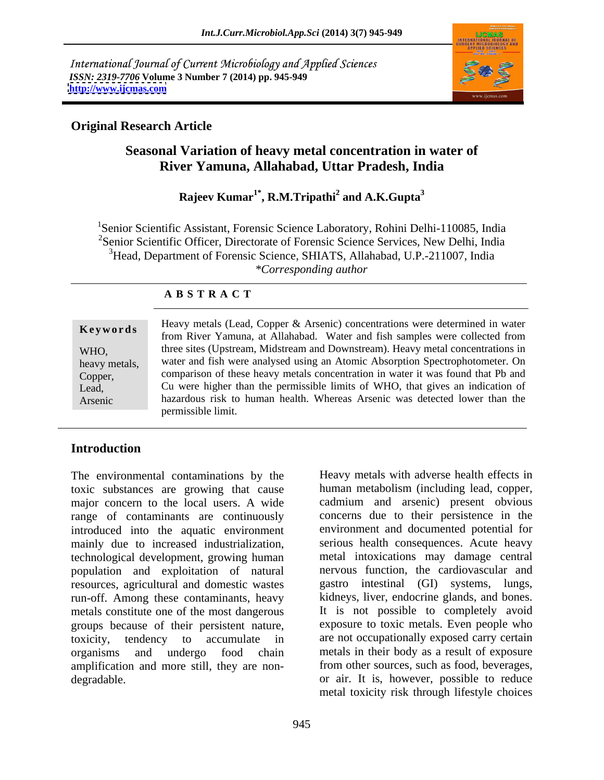International Journal of Current Microbiology and Applied Sciences *ISSN: 2319-7706* **Volume 3 Number 7 (2014) pp. 945-949 <http://www.ijcmas.com>**



## **Original Research Article**

# **Seasonal Variation of heavy metal concentration in water of River Yamuna, Allahabad, Uttar Pradesh, India**

### **Rajeev Kumar1\* , R.M.Tripathi<sup>2</sup> and A.K.Gupta<sup>3</sup>**

1Senior Scientific Assistant, Forensic Science Laboratory, Rohini Delhi-110085, India <sup>2</sup>Senior Scientific Officer, Directorate of Forensic Science Services, New Delhi, India <sup>3</sup> Head, Department of Forensic Science, SHIATS, Allahabad, U.P.-211007, India *\*Corresponding author*

### **A B S T R A C T**

| Keywords      | Heavy metals (Lead, Copper & Arsenic) concentrations were determined in water    |  |  |
|---------------|----------------------------------------------------------------------------------|--|--|
|               | from River Yamuna, at Allahabad. Water and fish samples were collected from      |  |  |
| WHO.          | three sites (Upstream, Midstream and Downstream). Heavy metal concentrations in  |  |  |
| heavy metals, | water and fish were analysed using an Atomic Absorption Spectrophotometer. On    |  |  |
| Copper,       | comparison of these heavy metals concentration in water it was found that Pb and |  |  |
| Lead,         | Cu were higher than the permissible limits of WHO, that gives an indication of   |  |  |
| Arsenic       | hazardous risk to human health. Whereas Arsenic was detected lower than the      |  |  |
|               | permissible limit                                                                |  |  |

### **Introduction**

The environmental contaminations by the toxic substances are growing that cause major concern to the local users. A wide cadmium and arsenic) present obvious range of contaminants are continuously introduced into the aquatic environment mainly due to increased industrialization, technological development, growing human population and exploitation of natural resources, agricultural and domestic wastes run-off. Among these contaminants, heavy metals constitute one of the most dangerous groups because of their persistent nature, toxicity, tendency to accumulate in are not occupationally exposed carry certain organisms and undergo food chain metals in their body as a result of exposure amplification and more still, they are non degradable. or air. It is, however, possible to reduce

Heavy metals with adverse health effects in human metabolism (including lead, copper, concerns due to their persistence in the environment and documented potential for serious health consequences. Acute heavy metal intoxications may damage central nervous function, the cardiovascular and gastro intestinal (GI) systems, lungs, kidneys, liver, endocrine glands, and bones. It is not possible to completely avoid exposure to toxic metals. Even people who from other sources, such as food, beverages, metal toxicity risk through lifestyle choices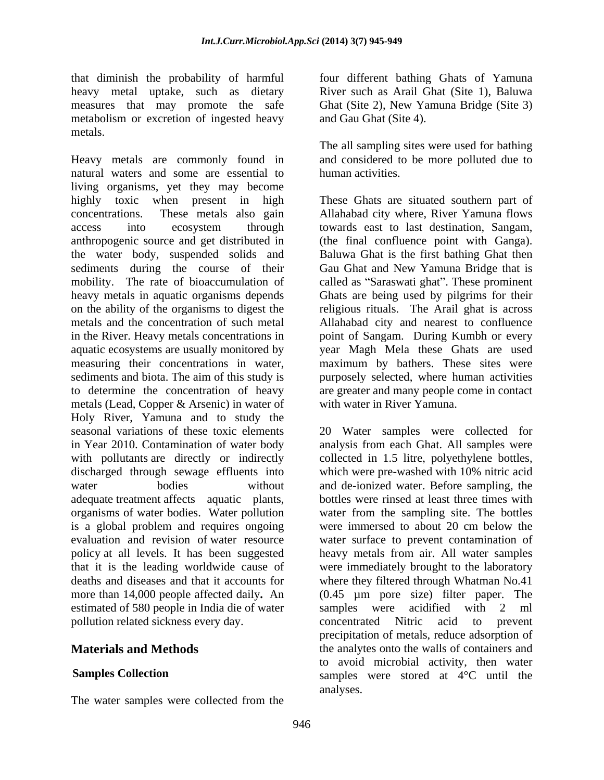that diminish the probability of harmful structure of the different bathing Ghats of Yamuna heavy metal uptake, such as dietary measures that may promote the safe metabolism or excretion of ingested heavy metals.

Heavy metals are commonly found in natural waters and some are essential to human activities. living organisms, yet they may become highly toxic when present in high These Ghats are situated southern part of concentrations. These metals also gain Allahabad city where, River Yamuna flows access into ecosystem through towards east to last destination, Sangam, anthropogenic source and get distributed in (the final confluence point with Ganga). the water body, suspended solids and sediments during the course of their Gau Ghat and New Yamuna Bridge that is mobility. The rate of bioaccumulation of called as "Saraswati ghat". These prominent heavy metals in aquatic organisms depends Ghats are being used by pilgrims for their on the ability of the organisms to digest the religious rituals. The Arail ghat is across metals and the concentration of such metal Allahabad city and nearest to confluence in the River. Heavy metals concentrations in point of Sangam. During Kumbh or every aquatic ecosystems are usually monitored by year Magh Mela these Ghats are used measuring their concentrations in water, maximum by bathers. These sites were sediments and biota. The aim of this study is purposely selected, where human activities to determine the concentration of heavy are greater and many people come in contact metals (Lead, Copper & Arsenic) in water of Holy River, Yamuna and to study the seasonal variations of these toxic elements 20 Water samples were collected for in Year 2010. Contamination of water body analysis from each Ghat. All samples were with pollutants are directly or indirectly discharged through sewage effluents into which were pre-washed with 10% nitric acid water bodies without and de-ionized water. Before sampling, the adequate treatment affects aquatic plants, organisms of water bodies. Water pollution is a global problem and requires ongoing were immersed to about 20 cm below the evaluation and revision of water resource water surface to prevent contamination of policy at all levels. It has been suggested heavy metals from air. All water samples that it is the leading worldwide cause of were immediately brought to the laboratory deaths and diseases and that it accounts for where they filtered through Whatman No.41 more than 14,000 people affected daily. An (0.45  $\mu$ m pore size) filter paper.<br>estimated of 580 people in India die of water samples were acidified with 2 estimated of 580 people in India die of water samples were acidified with 2 ml pollution related sickness every day. The concentrated Nitric acid to prevent

The water samples were collected from the

River such as Arail Ghat (Site 1), Baluwa Ghat (Site 2), New Yamuna Bridge (Site 3) and Gau Ghat (Site 4).

The all sampling sites were used for bathing and considered to be more polluted due to human activities.

(the final confluence point with Ganga). Baluwa Ghat is the first bathing Ghat then with water in River Yamuna.

**Materials and Methods** the analytes onto the walls of containers and **Samples Collection** Samples were stored at 4<sup>°</sup>C until the collected in 1.5 litre, polyethylene bottles, which were pre-washed with 10% nitric acid bottles were rinsed at least three times with water from the sampling site. The bottles were immersed to about 20 cm below the (0.45 µm pore size) filter paper. The samples were acidified with 2 ml concentrated Nitric acid to precipitation of metals, reduce adsorption of to avoid microbial activity, then water analyses.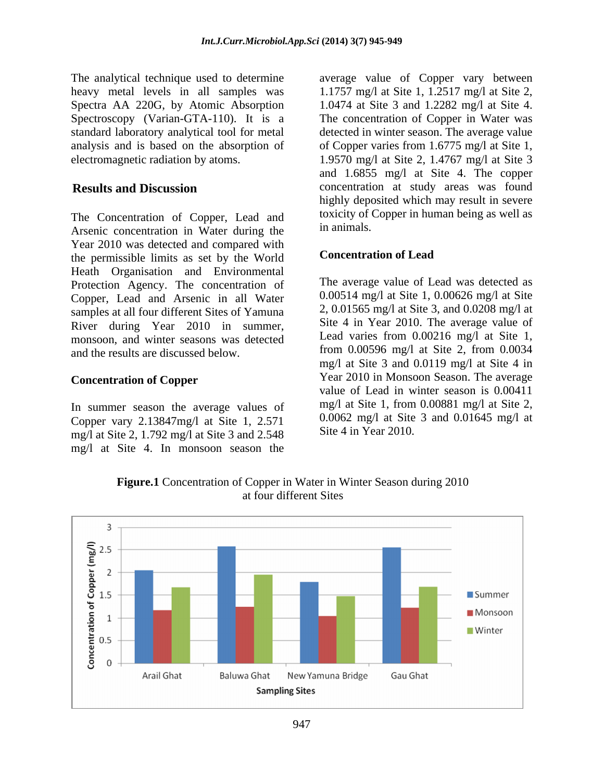The analytical technique used to determine average value of Copper vary between

The Concentration of Copper, Lead and toxicity of Concentration in Weter during the in animals. Arsenic concentration in Water during the Year 2010 was detected and compared with<br>the permissible limits as set by the World **Concentration of Lead** the permissible limits as set by the World Heath Organisation and Environmental Protection Agency. The concentration of Copper, Lead and Arsenic in all Water samples at all four different Sites of Yamuna River during Year 2010 in summer, monsoon, and winter seasons was detected and the results are discussed below.

### **Concentration of Copper**

In summer season the average values of Copper vary 2.13847mg/l at Site 1, 2.571 mg/l at Site 2, 1.792 mg/l at Site 3 and 2.548 mg/l at Site 4. In monsoon season the

heavy metal levels in all samples was 1.1757 mg/l at Site 1, 1.2517 mg/l at Site 2, Spectra AA 220G, by Atomic Absorption 1.0474 at Site 3 and 1.2282 mg/l at Site 4. Spectroscopy (Varian-GTA-110). It is a The concentration of Copper in Water was standard laboratory analytical tool for metal detected in winter season. The average value analysis and is based on the absorption of of Copper varies from 1.6775 mg/l at Site 1, electromagnetic radiation by atoms. 1.9570 mg/l at Site 2, 1.4767 mg/l at Site 3 **Results and Discussion** concentration at study areas was found and 1.6855 mg/l at Site 4. The copper highly deposited which may result in severe toxicity of Copper in human being as well as in animals.

### **Concentration of Lead**

The average value of Lead was detected as 0.00514 mg/l at Site 1, 0.00626 mg/l at Site 2, 0.01565 mg/l at Site 3, and 0.0208 mg/l at Site 4 in Year 2010. The average value of Lead varies from 0.00216 mg/l at Site 1, from 0.00596 mg/l at Site 2, from 0.0034 mg/l at Site 3 and 0.0119 mg/l at Site 4 in Year 2010 in Monsoon Season. The average value of Lead in winter season is 0.00411 mg/l at Site 1, from 0.00881 mg/l at Site 2, 0.0062 mg/l at Site 3 and 0.01645 mg/l at Site 4 in Year 2010.



**Figure.1** Concentration of Copper in Water in Winter Season during 2010 at four different Sites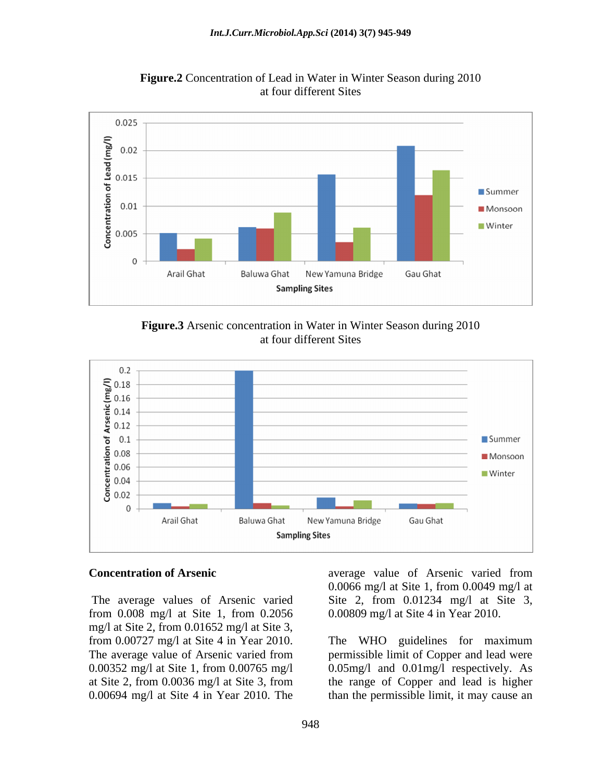

**Figure.2** Concentration of Lead in Water in Winter Season during 2010 at four different Sites





from 0.008 mg/l at Site 1, from 0.2056 mg/l at Site 2, from 0.01652 mg/l at Site 3,

**Concentration of Arsenic** average value of Arsenic varied from The average values of Arsenic varied Site 2, from 0.01234 mg/l at Site 3, 0.0066 mg/l at Site 1, from 0.0049 mg/l at 0.00809 mg/l at Site 4 in Year 2010.

from 0.00727 mg/l at Site 4 in Year 2010. The WHO guidelines for maximum The average value of Arsenic varied from permissible limit of Copper and lead were 0.00352 mg/l at Site 1, from 0.00765 mg/l 0.05mg/l and 0.01mg/l respectively. As at Site 2, from 0.0036 mg/l at Site 3, from the range of Copper and lead is higher 0.00694 mg/l at Site 4 in Year 2010. The than the permissible limit, it may cause an